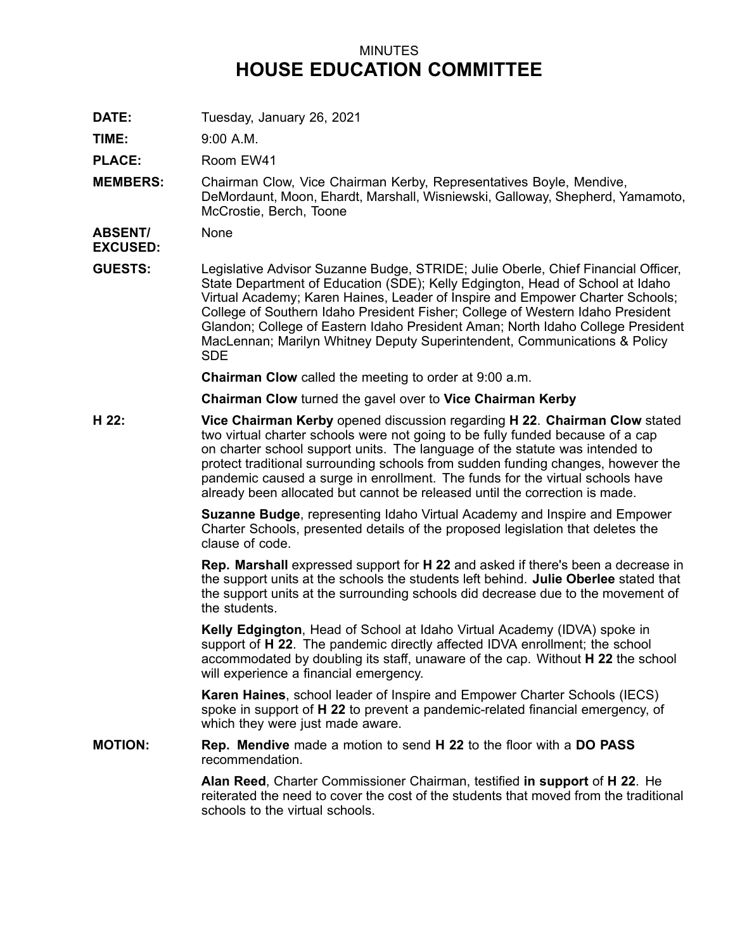## MINUTES **HOUSE EDUCATION COMMITTEE**

**DATE:** Tuesday, January 26, 2021

**TIME:** 9:00 A.M.

PLACE: Room EW41

**MEMBERS:** Chairman Clow, Vice Chairman Kerby, Representatives Boyle, Mendive, DeMordaunt, Moon, Ehardt, Marshall, Wisniewski, Galloway, Shepherd, Yamamoto, McCrostie, Berch, Toone

**ABSENT/ EXCUSED:** None

**GUESTS:** Legislative Advisor Suzanne Budge, STRIDE; Julie Oberle, Chief Financial Officer, State Department of Education (SDE); Kelly Edgington, Head of School at Idaho Virtual Academy; Karen Haines, Leader of Inspire and Empower Charter Schools; College of Southern Idaho President Fisher; College of Western Idaho President Glandon; College of Eastern Idaho President Aman; North Idaho College President MacLennan; Marilyn Whitney Deputy Superintendent, Communications & Policy SDE

**Chairman Clow** called the meeting to order at 9:00 a.m.

**Chairman Clow** turned the gavel over to **Vice Chairman Kerby**

**H 22: Vice Chairman Kerby** opened discussion regarding **H 22**. **Chairman Clow** stated two virtual charter schools were not going to be fully funded because of <sup>a</sup> cap on charter school support units. The language of the statute was intended to protect traditional surrounding schools from sudden funding changes, however the pandemic caused <sup>a</sup> surge in enrollment. The funds for the virtual schools have already been allocated but cannot be released until the correction is made.

> **Suzanne Budge**, representing Idaho Virtual Academy and Inspire and Empower Charter Schools, presented details of the proposed legislation that deletes the clause of code.

**Rep. Marshall** expressed support for **H 22** and asked if there's been <sup>a</sup> decrease in the support units at the schools the students left behind. **Julie Oberlee** stated that the support units at the surrounding schools did decrease due to the movement of the students.

**Kelly Edgington**, Head of School at Idaho Virtual Academy (IDVA) spoke in support of **H 22**. The pandemic directly affected IDVA enrollment; the school accommodated by doubling its staff, unaware of the cap. Without **H 22** the school will experience <sup>a</sup> financial emergency.

**Karen Haines**, school leader of Inspire and Empower Charter Schools (IECS) spoke in support of **H 22** to prevent <sup>a</sup> pandemic-related financial emergency, of which they were just made aware.

**MOTION: Rep. Mendive** made <sup>a</sup> motion to send **H 22** to the floor with <sup>a</sup> **DO PASS** recommendation.

> **Alan Reed**, Charter Commissioner Chairman, testified **in support** of **H 22**. He reiterated the need to cover the cost of the students that moved from the traditional schools to the virtual schools.